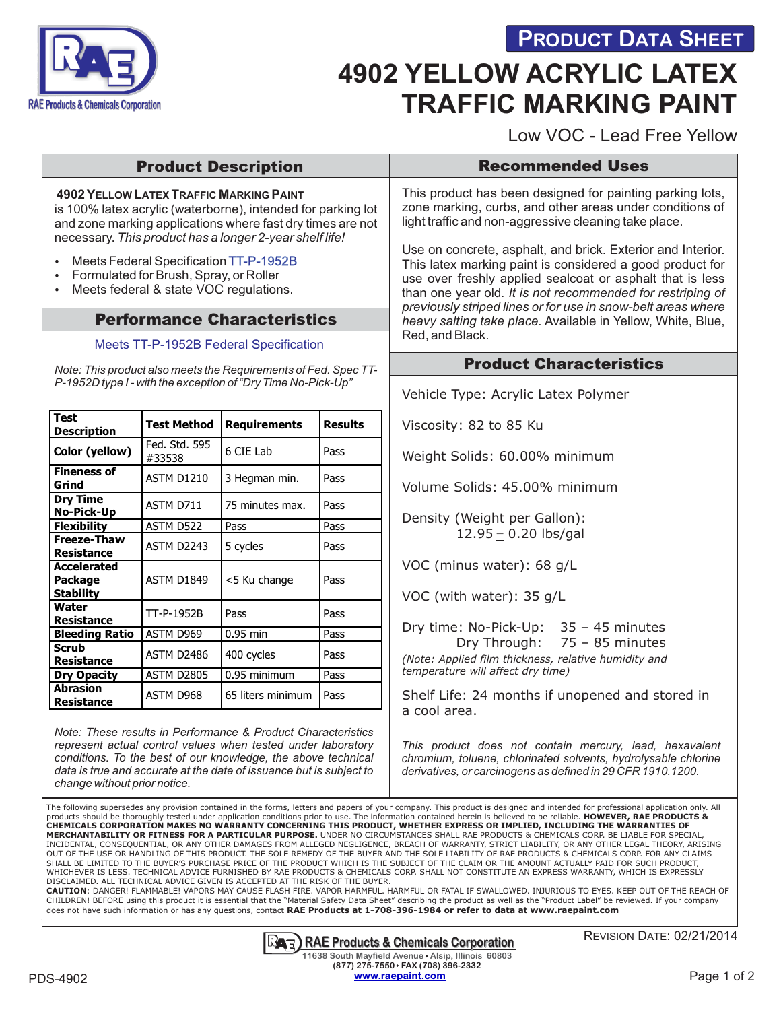



# **4902 YELLOW ACRYLIC LATEX TRAFFIC MARKING PAINT**

Low VOC - Lead Free Yellow

## Product Description

**4902 YELLOW LATEX TRAFFIC MARKING PAINT** is 100% latex acrylic (waterborne), intended for parking lot and zone marking applications where fast dry times are not necessary. *This product has a longer 2-year shelf life!*

- Meets Federal Specification TT-P-1952B
- Formulated for Brush, Spray, or Roller
- Meets federal & state VOC regulations.

### Performance Characteristics

#### [Meets TT-P-1952B Federal Specification](http://www.raeproducts.net/v/vspfiles/assets/images/Fed_Spec_TT-P-1952B_RAE_Products.pdf)

*Note: This product also meets the Requirements of Fed. Spec TT-P-1952D type I - with the exception of "Dry Time No-Pick-Up"*

| <b>Test</b><br><b>Description</b>                        | <b>Test Method</b>      | <b>Requirements</b> | <b>Results</b> |
|----------------------------------------------------------|-------------------------|---------------------|----------------|
| Color (yellow)                                           | Fed. Std. 595<br>#33538 | 6 CIE Lab           | Pass           |
| <b>Fineness of</b><br>Grind                              | <b>ASTM D1210</b>       | 3 Hegman min.       | Pass           |
| <b>Dry Time</b><br><b>No-Pick-Up</b>                     | ASTM D711               | 75 minutes max.     | Pass           |
| <b>Flexibility</b>                                       | ASTM D522               | Pass                | Pass           |
| <b>Freeze-Thaw</b><br><b>Resistance</b>                  | ASTM D2243              | 5 cycles            | Pass           |
| <b>Accelerated</b><br><b>Package</b><br><b>Stability</b> | ASTM D1849              | <5 Ku change        | Pass           |
| Water<br>Resistance                                      | TT-P-1952B              | Pass                | Pass           |
| <b>Bleeding Ratio</b>                                    | ASTM D969               | $0.95$ min          | Pass           |
| Scrub<br><b>Resistance</b>                               | ASTM D2486              | 400 cycles          | Pass           |
| Dry Opacity                                              | ASTM D2805              | 0.95 minimum        | Pass           |
| <b>Abrasion</b><br><b>Resistance</b>                     | ASTM D968               | 65 liters minimum   | Pass           |

*Note: These results in Performance & Product Characteristics represent actual control values when tested under laboratory conditions. To the best of our knowledge, the above technical data is true and accurate at the date of issuance but is subject to change without prior notice.*

#### Recommended Uses

This product has been designed for painting parking lots, zone marking, curbs, and other areas under conditions of light traffic and non-aggressive cleaning take place.

Use on concrete, asphalt, and brick. Exterior and Interior. This latex marking paint is considered a good product for use over freshly applied sealcoat or asphalt that is less than one year old*. It is not recommended for restriping of previously striped lines or for use in snow-belt areas where heavy salting take place.* Available in Yellow, White, Blue, Red, and Black.

### Product Characteristics

Vehicle Type: Acrylic Latex Polymer

Viscosity: 82 to 85 Ku

 $\overline{\phantom{a}}$ 

 $\overline{\phantom{a}}$ 

Weight Solids: 60.00% minimum

Volume Solids: 45.00% minimum

Density (Weight per Gallon): 12.95 + 0.20 lbs/gal

VOC (minus water): 68 g/L

VOC (with water): 35 g/L

Dry time: No-Pick-Up: 35 – 45 minutes Dry Through: 75 – 85 minutes *(Note: Applied film thickness, relative humidity and temperature will affect dry time)*

Shelf Life: 24 months if unopened and stored in a cool area.

*This product does not contain mercury, lead, hexavalent chromium, toluene, chlorinated solvents, hydrolysable chlorine derivatives, or carcinogens as defined in 29 CFR 1910.1200.*

The following supersedes any provision contained in the forms, letters and papers of your company. This product is designed and intended for professional application only. All products should be thoroughly tested under application conditions prior to use. The information contained herein is believed to be reliable. **HOWEVER, RAE PRODUCTS &**<br>CHEMICALS CORPORATION MAKES NO WARRANTY CONCERNING THIS **MERCHANTABILITY OR FITNESS FOR A PARTICULAR PURPOSE.** UNDER NO CIRCUMSTANCES SHALL RAE PRODUCTS & CHEMICALS CORP. BE LIABLE FOR SPECIAL, INCIDENTAL, CONSEQUENTIAL, OR ANY OTHER DAMAGES FROM ALLEGED NEGLIGENCE, BREACH OF WARRANTY, STRICT LIABILITY, OR ANY OTHER LEGAL THEORY, ARISING OUT OF THE USE OR HANDLING OF THIS PRODUCT. THE SOLE REMEDY OF THE BUYER AND THE SOLE LIABILITY OF RAE PRODUCTS & CHEMICALS CORP. FOR ANY CLAIMS<br>SHALL BE LIMITED TO THE BUYER'S PURCHASE PRICE OF THE PRODUCT WHICH IS THE SU WHICHEVER IS LESS. TECHNICAL ADVICE FURNISHED BY RAE PRODUCTS & CHEMICALS CORP. SHALL NOT CONSTITUTE AN EXPRESS WARRANTY, WHICH IS EXPRESSLY DISCLAIMED. ALL TECHNICAL ADVICE GIVEN IS ACCEPTED AT THE RISK OF THE BUYER.

**CAUTION**: DANGER! FLAMMABLE! VAPORS MAY CAUSE FLASH FIRE. VAPOR HARMFUL. HARMFUL OR FATAL IF SWALLOWED. INJURIOUS TO EYES. KEEP OUT OF THE REACH OF<br>CHILDREN! BEFORE using this product it is essential that the "Material Sa does not have such information or has any questions, contact **RAE Products at 1-708-396-1984 or refer to data at www.raepaint.com**

#### **RAE** Products & Chemicals Corporation

REVISION DATE: 02/21/2014

PDS-4902 **Example 2** Post of 2 and 2 and 2 and 2 and 2 and 2 and 2 and 2 and 2 and 2 and 2 and 2 and 2 and 2 and 2 and 2 and 2 and 2 and 2 and 2 and 2 and 2 and 2 and 2 and 2 and 2 and 2 and 2 and 2 and 2 and 2 and 2 and 2 **11638 South Mayfield Avenue Alsip, Illinois 60803 (877) 275-7550 FAX (708) 396-2332 [www.raepaint.com](http://www.raeproducts.net/v/vspfiles/assets/images/4902_rae_msds.pdf)**